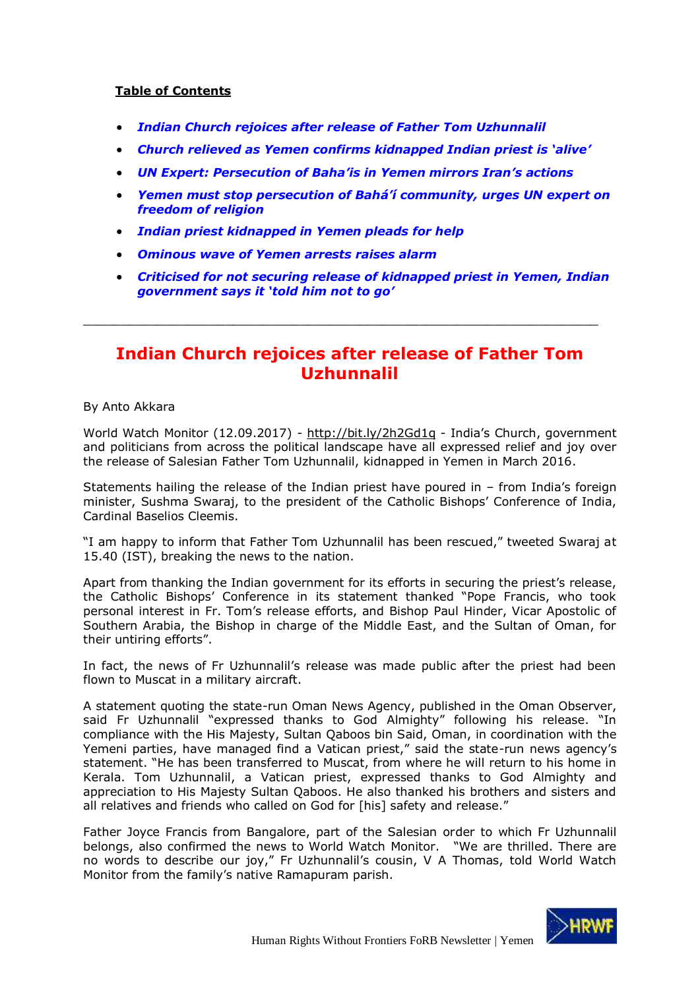### **Table of Contents**

- *[Indian Church rejoices after release of Father Tom Uzhunnalil](#page-0-0)*
- *[Church relieved as Yemen confirms kidnapped Indian priest is 'alive'](#page-2-0)*
- *[UN Expert: Persecution of Baha'is in Yemen mirrors Iran's actions](#page-5-0)*
- *[Yemen must stop persecution of Bah](#page-6-0)á'í community, urges UN expert on [freedom of religion](#page-6-0)*
- *[Indian priest kidnapped in Yemen pleads for help](#page-8-0)*
- *[Ominous wave of Yemen arrests raises alarm](#page-8-1)*
- *[Criticised for not securing release of kidnapped priest in Yemen, Indian](#page-10-0)  [government says it 'told him not to go'](#page-10-0)*

## **Indian Church rejoices after release of Father Tom Uzhunnalil**

<span id="page-0-0"></span>\_\_\_\_\_\_\_\_\_\_\_\_\_\_\_\_\_\_\_\_\_\_\_\_\_\_\_\_\_\_\_\_\_\_\_\_\_\_\_\_\_\_\_\_\_\_\_\_\_\_\_\_\_\_\_\_\_\_\_\_\_\_\_\_\_\_\_\_\_

By Anto Akkara

World Watch Monitor (12.09.2017) - <http://bit.ly/2h2Gd1q> - India's Church, government and politicians from across the political landscape have all expressed relief and joy over the release of Salesian Father Tom Uzhunnalil, kidnapped in Yemen in March 2016.

Statements hailing the release of the Indian priest have poured in – from India's foreign minister, Sushma Swaraj, to the president of the Catholic Bishops' Conference of India, Cardinal Baselios Cleemis.

"I am happy to inform that Father Tom Uzhunnalil has been rescued," tweeted Swaraj at 15.40 (IST), breaking the news to the nation.

Apart from thanking the Indian government for its efforts in securing the priest's release, the Catholic Bishops' Conference in its statement thanked "Pope Francis, who took personal interest in Fr. Tom's release efforts, and Bishop Paul Hinder, Vicar Apostolic of Southern Arabia, the Bishop in charge of the Middle East, and the Sultan of Oman, for their untiring efforts".

In fact, the news of Fr Uzhunnalil's release was made public after the priest had been flown to Muscat in a military aircraft.

A statement quoting the state-run Oman News Agency, published in the Oman Observer, said Fr Uzhunnalil "expressed thanks to God Almighty" following his release. "In compliance with the His Majesty, Sultan Qaboos bin Said, Oman, in coordination with the Yemeni parties, have managed find a Vatican priest," said the state-run news agency's statement. "He has been transferred to Muscat, from where he will return to his home in Kerala. Tom Uzhunnalil, a Vatican priest, expressed thanks to God Almighty and appreciation to His Majesty Sultan Qaboos. He also thanked his brothers and sisters and all relatives and friends who called on God for [his] safety and release."

Father Joyce Francis from Bangalore, part of the Salesian order to which Fr Uzhunnalil belongs, also confirmed the news to World Watch Monitor. "We are thrilled. There are no words to describe our joy," Fr Uzhunnalil's cousin, V A Thomas, told World Watch Monitor from the family's native Ramapuram parish.

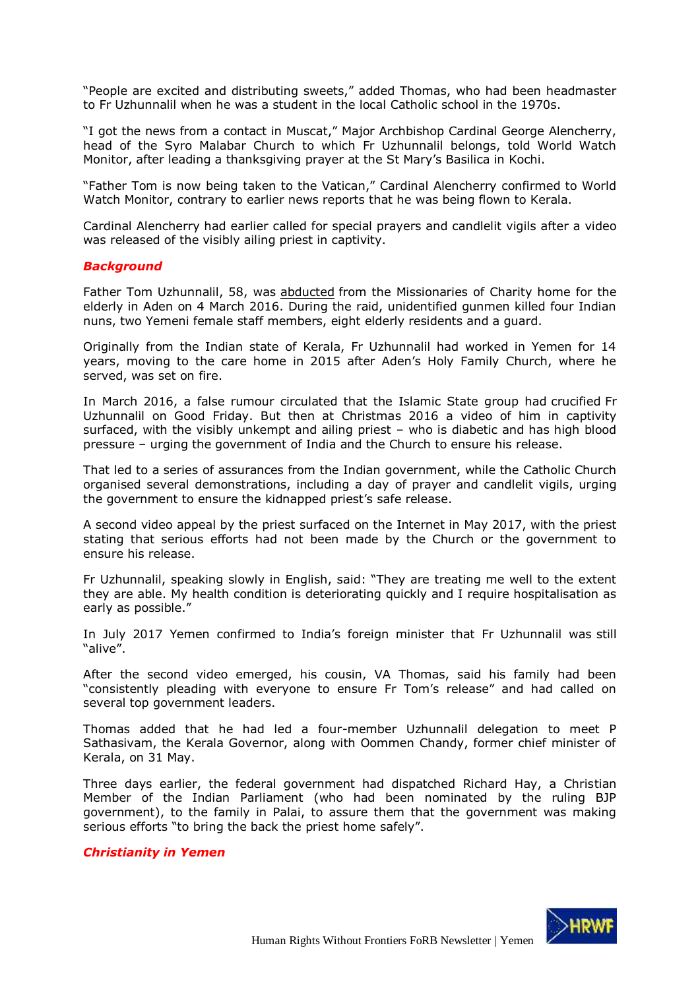"People are excited and distributing sweets," added Thomas, who had been headmaster to Fr Uzhunnalil when he was a student in the local Catholic school in the 1970s.

"I got the news from a contact in Muscat," Major Archbishop Cardinal George Alencherry, head of the Syro Malabar Church to which Fr Uzhunnalil belongs, told World Watch Monitor, after leading a thanksgiving prayer at the St Mary's Basilica in Kochi.

"Father Tom is now being taken to the Vatican," Cardinal Alencherry confirmed to World Watch Monitor, contrary to earlier news reports that he was being flown to Kerala.

Cardinal Alencherry had earlier called for special prayers and candlelit vigils after a video was released of the visibly ailing priest in captivity.

#### *Background*

Father Tom Uzhunnalil, 58, was [abducted](https://www.worldwatchmonitor.org/2016/03/gunmen-kill-4-nuns-and-12-others-in-yemen/) from the Missionaries of Charity home for the elderly in Aden on 4 March 2016. During the raid, unidentified gunmen killed four Indian nuns, two Yemeni female staff members, eight elderly residents and a guard.

Originally from the Indian state of Kerala, Fr Uzhunnalil had worked in Yemen for 14 years, moving to the care home in 2015 after Aden's Holy Family Church, where he served, was set on fire.

In March 2016, a false rumour circulated that the Islamic State group had crucified Fr Uzhunnalil on Good Friday. But then at Christmas 2016 a video of him in captivity surfaced, with the visibly unkempt and ailing priest – who is diabetic and has high blood pressure – urging the government of India and the Church to ensure his release.

That led to a series of assurances from the Indian government, while the Catholic Church organised several demonstrations, including a day of prayer and candlelit vigils, urging the government to ensure the kidnapped priest's safe release.

A second video appeal by the priest surfaced on the Internet in May 2017, with the priest stating that serious efforts had not been made by the Church or the government to ensure his release.

Fr Uzhunnalil, speaking slowly in English, said: "They are treating me well to the extent they are able. My health condition is deteriorating quickly and I require hospitalisation as early as possible."

In July 2017 Yemen confirmed to India's foreign minister that Fr Uzhunnalil was still "alive".

After the second video emerged, his cousin, VA Thomas, said his family had been "consistently pleading with everyone to ensure Fr Tom's release" and had called on several top government leaders.

Thomas added that he had led a four-member Uzhunnalil delegation to meet P Sathasivam, the Kerala Governor, along with Oommen Chandy, former chief minister of Kerala, on 31 May.

Three days earlier, the federal government had dispatched Richard Hay, a Christian Member of the Indian Parliament (who had been nominated by the ruling BJP government), to the family in Palai, to assure them that the government was making serious efforts "to bring the back the priest home safely".

#### *Christianity in Yemen*

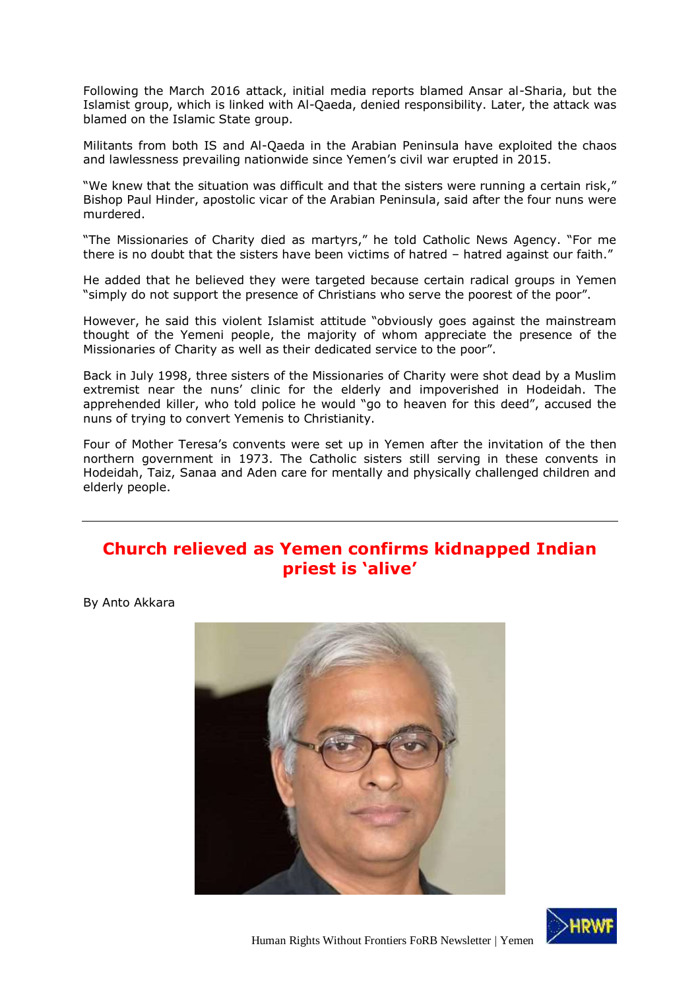Following the March 2016 attack, initial media reports blamed Ansar al-Sharia, but the Islamist group, which is linked with Al-Qaeda, denied responsibility. Later, the attack was blamed on the Islamic State group.

Militants from both IS and Al-Qaeda in the Arabian Peninsula have exploited the chaos and lawlessness prevailing nationwide since Yemen's civil war erupted in 2015.

"We knew that the situation was difficult and that the sisters were running a certain risk," Bishop Paul Hinder, apostolic vicar of the Arabian Peninsula, said after the four nuns were murdered.

"The Missionaries of Charity died as martyrs," he told Catholic News Agency. "For me there is no doubt that the sisters have been victims of hatred - hatred against our faith."

He added that he believed they were targeted because certain radical groups in Yemen "simply do not support the presence of Christians who serve the poorest of the poor".

However, he said this violent Islamist attitude "obviously goes against the mainstream thought of the Yemeni people, the majority of whom appreciate the presence of the Missionaries of Charity as well as their dedicated service to the poor".

Back in July 1998, three sisters of the Missionaries of Charity were shot dead by a Muslim extremist near the nuns' clinic for the elderly and impoverished in Hodeidah. The apprehended killer, who told police he would "go to heaven for this deed", accused the nuns of trying to convert Yemenis to Christianity.

Four of Mother Teresa's convents were set up in Yemen after the invitation of the then northern government in 1973. The Catholic sisters still serving in these convents in Hodeidah, Taiz, Sanaa and Aden care for mentally and physically challenged children and elderly people.

## <span id="page-2-0"></span>**Church relieved as Yemen confirms kidnapped Indian priest is 'alive'**

By Anto Akkara



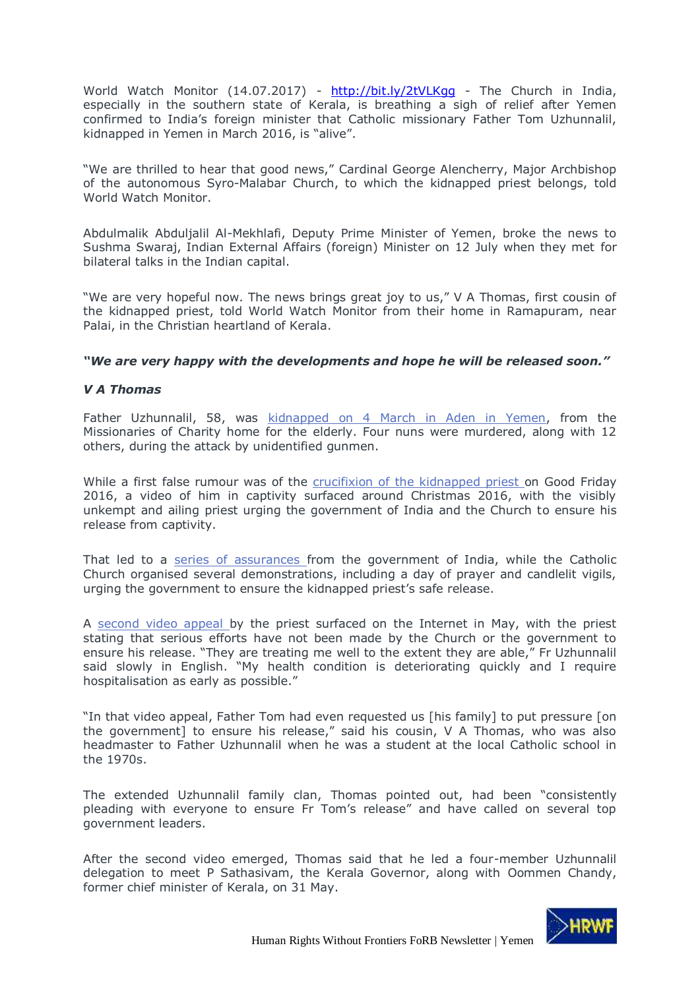World Watch Monitor (14.07.2017) - http://bit.ly/2tVLKqq - The Church in India, especially in the southern state of Kerala, is breathing a sigh of relief after Yemen confirmed to India's foreign minister that Catholic missionary Father Tom Uzhunnalil, kidnapped in Yemen in March 2016, is "alive".

"We are thrilled to hear that good news," Cardinal George Alencherry, Major Archbishop of the autonomous Syro-Malabar Church, to which the kidnapped priest belongs, told World Watch Monitor.

Abdulmalik Abduljalil Al-Mekhlafi, Deputy Prime Minister of Yemen, broke the news to Sushma Swaraj, Indian External Affairs (foreign) Minister on 12 July when they met for bilateral talks in the Indian capital.

"We are very hopeful now. The news brings great joy to us," V A Thomas, first cousin of the kidnapped priest, told World Watch Monitor from their home in Ramapuram, near Palai, in the Christian heartland of Kerala.

#### *"We are very happy with the developments and hope he will be released soon."*

### *V A Thomas*

Father Uzhunnalil, 58, was [kidnapped on 4 March in Aden in Yemen,](https://www.worldwatchmonitor.org/2016/03/gunmen-kill-4-nuns-and-12-others-in-yemen/) from the Missionaries of Charity home for the elderly. Four nuns were murdered, along with 12 others, during the attack by unidentified gunmen.

While a first false rumour was of the [crucifixion of the kidnapped priest o](https://www.worldwatchmonitor.org/2016/04/priests-crucifixion-rumours-false-says-indias-foreign-minister/)n Good Friday 2016, a video of him in captivity surfaced around Christmas 2016, with the visibly unkempt and ailing priest urging the government of India and the Church to ensure his release from captivity.

That led to a [series of assurances f](https://www.worldwatchmonitor.org/2017/01/criticised-for-not-securing-release-of-kidnapped-priest-in-yemen-indian-government-says-it-told-him-not-to-go/)rom the government of India, while the Catholic Church organised several demonstrations, including a day of prayer and candlelit vigils, urging the government to ensure the kidnapped priest's safe release.

A [second video appeal b](https://www.worldwatchmonitor.org/coe/priest-kidnapped-in-yemen-appeals-for-help-in-new-video/)y the priest surfaced on the Internet in May, with the priest stating that serious efforts have not been made by the Church or the government to ensure his release. "They are treating me well to the extent they are able," Fr Uzhunnalil said slowly in English. "My health condition is deteriorating quickly and I require hospitalisation as early as possible."

"In that video appeal, Father Tom had even requested us [his family] to put pressure [on the government] to ensure his release," said his cousin, V A Thomas, who was also headmaster to Father Uzhunnalil when he was a student at the local Catholic school in the 1970s.

The extended Uzhunnalil family clan, Thomas pointed out, had been "consistently pleading with everyone to ensure Fr Tom's release" and have called on several top government leaders.

After the second video emerged, Thomas said that he led a four-member Uzhunnalil delegation to meet P Sathasivam, the Kerala Governor, along with Oommen Chandy, former chief minister of Kerala, on 31 May.

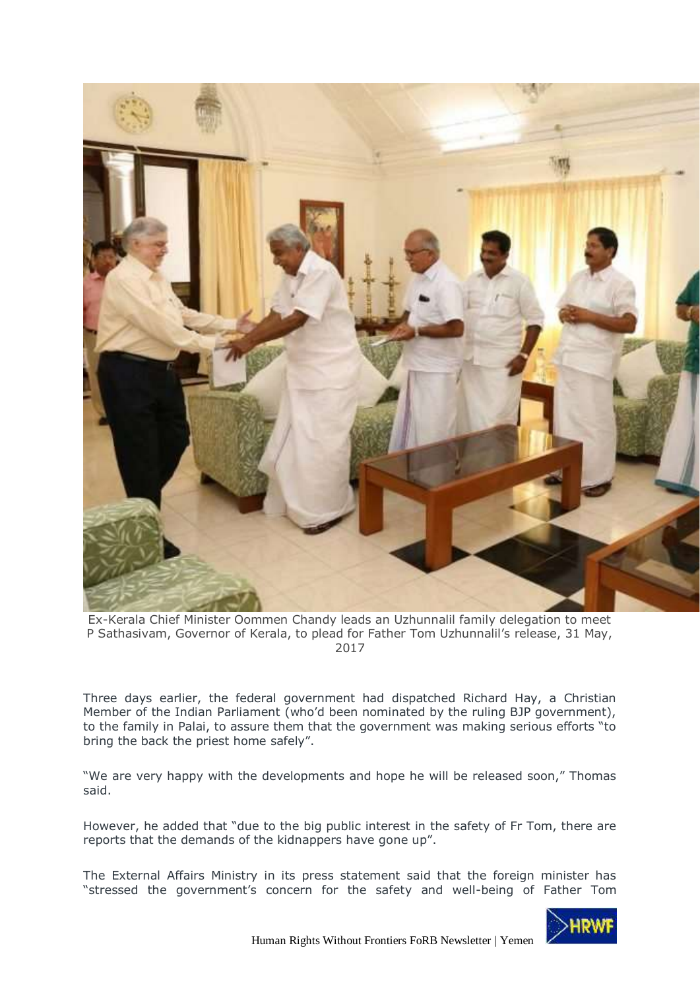

Ex-Kerala Chief Minister Oommen Chandy leads an Uzhunnalil family delegation to meet P Sathasivam, Governor of Kerala, to plead for Father Tom Uzhunnalil's release, 31 May, 2017

Three days earlier, the federal government had dispatched Richard Hay, a Christian Member of the Indian Parliament (who'd been nominated by the ruling BJP government), to the family in Palai, to assure them that the government was making serious efforts "to bring the back the priest home safely".

"We are very happy with the developments and hope he will be released soon," Thomas said.

However, he added that "due to the big public interest in the safety of Fr Tom, there are reports that the demands of the kidnappers have gone up".

The External Affairs Ministry in its press statement said that the foreign minister has "stressed the government's concern for the safety and well-being of Father Tom

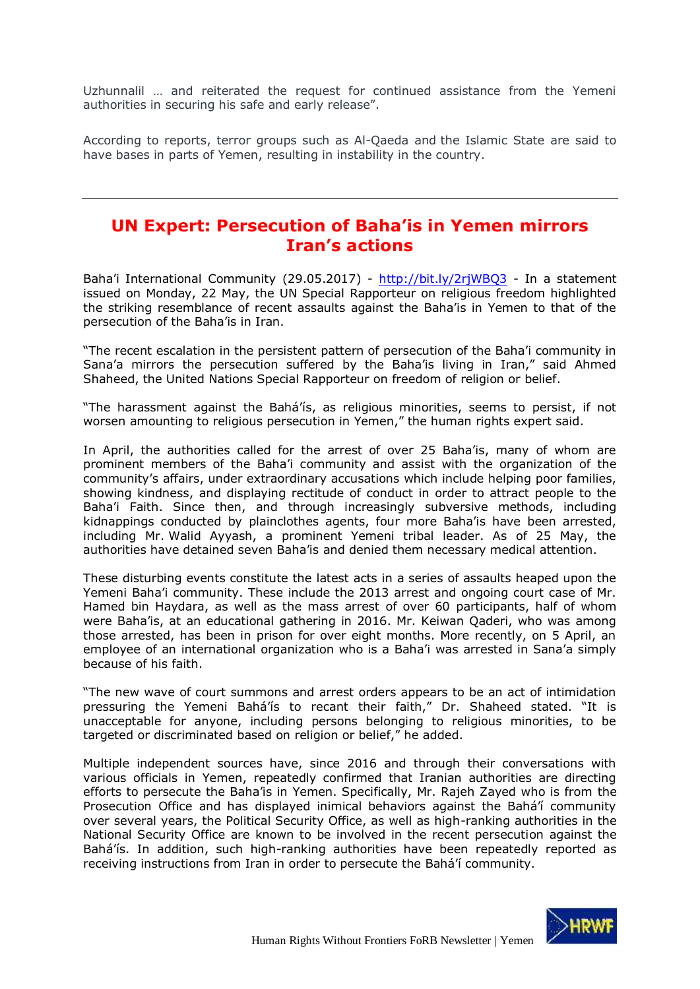Uzhunnalil … and reiterated the request for continued assistance from the Yemeni authorities in securing his safe and early release".

According to reports, terror groups such as Al-Qaeda and the Islamic State are said to have bases in parts of Yemen, resulting in instability in the country.

## <span id="page-5-0"></span>**UN Expert: Persecution of Baha'is in Yemen mirrors Iran's actions**

Baha'i International Community (29.05.2017) - <http://bit.ly/2rjWBQ3> - In a statement issued on Monday, 22 May, the UN Special Rapporteur on religious freedom highlighted the striking resemblance of recent assaults against the Baha'is in Yemen to that of the persecution of the Baha'is in Iran.

"The recent escalation in the persistent pattern of persecution of the Baha'i community in Sana'a mirrors the persecution suffered by the Baha'is living in Iran," said Ahmed Shaheed, the United Nations Special Rapporteur on freedom of religion or belief.

"The harassment against the Bahá'ís, as religious minorities, seems to persist, if not worsen amounting to religious persecution in Yemen," the human rights expert said.

In April, the authorities called for the arrest of over 25 Baha'is, many of whom are prominent members of the Baha'i community and assist with the organization of the community's affairs, under extraordinary accusations which include helping poor families, showing kindness, and displaying rectitude of conduct in order to attract people to the Baha'i Faith. Since then, and through increasingly subversive methods, including kidnappings conducted by plainclothes agents, four more Baha'is have been arrested, including Mr. Walid Ayyash, a prominent Yemeni tribal leader. As of 25 May, the authorities have detained seven Baha'is and denied them necessary medical attention.

These disturbing events constitute the latest acts in a series of assaults heaped upon the Yemeni Baha'i community. These include the 2013 arrest and ongoing court case of Mr. Hamed bin Haydara, as well as the mass arrest of over 60 participants, half of whom were Baha'is, at an educational gathering in 2016. Mr. Keiwan Qaderi, who was among those arrested, has been in prison for over eight months. More recently, on 5 April, an employee of an international organization who is a Baha'i was arrested in Sana'a simply because of his faith.

"The new wave of court summons and arrest orders appears to be an act of intimidation pressuring the Yemeni Bahá'ís to recant their faith," Dr. Shaheed stated. "It is unacceptable for anyone, including persons belonging to religious minorities, to be targeted or discriminated based on religion or belief," he added.

Multiple independent sources have, since 2016 and through their conversations with various officials in Yemen, repeatedly confirmed that Iranian authorities are directing efforts to persecute the Baha'is in Yemen. Specifically, Mr. Rajeh Zayed who is from the Prosecution Office and has displayed inimical behaviors against the Bahá'í community over several years, the Political Security Office, as well as high-ranking authorities in the National Security Office are known to be involved in the recent persecution against the Bahá'ís. In addition, such high-ranking authorities have been repeatedly reported as receiving instructions from Iran in order to persecute the Bahá'í community.

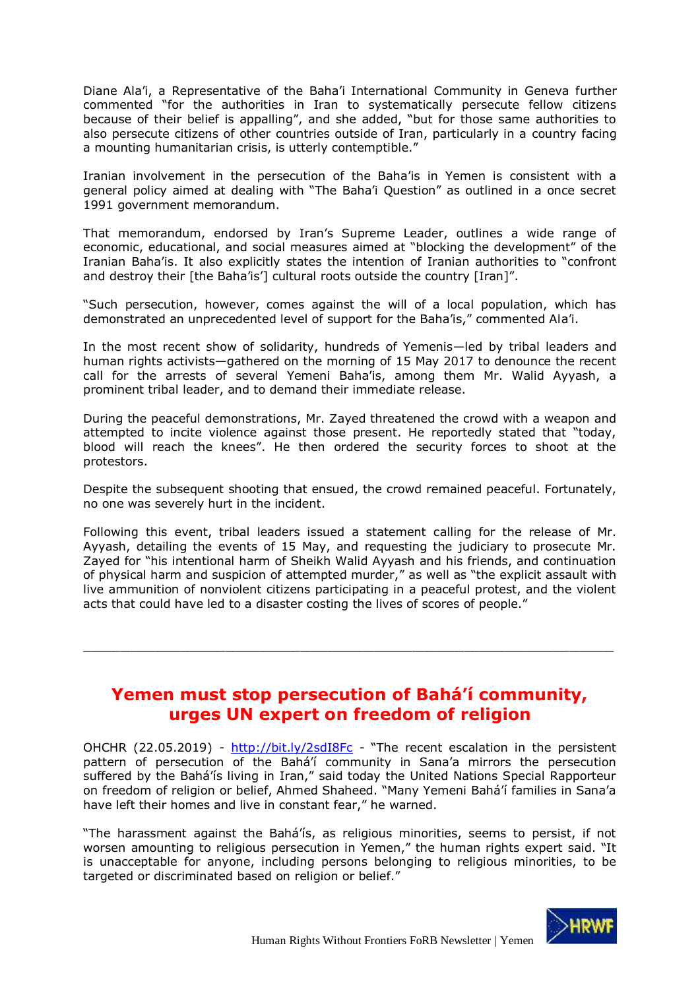Diane Ala'i, a Representative of the Baha'i International Community in Geneva further commented "for the authorities in Iran to systematically persecute fellow citizens because of their belief is appalling", and she added, "but for those same authorities to also persecute citizens of other countries outside of Iran, particularly in a country facing a mounting humanitarian crisis, is utterly contemptible."

Iranian involvement in the persecution of the Baha'is in Yemen is consistent with a general policy aimed at dealing with "The Baha'i Question" as outlined in a once secret 1991 government memorandum.

That memorandum, endorsed by Iran's Supreme Leader, outlines a wide range of economic, educational, and social measures aimed at "blocking the development" of the Iranian Baha'is. It also explicitly states the intention of Iranian authorities to "confront and destroy their [the Baha'is'] cultural roots outside the country [Iran]".

"Such persecution, however, comes against the will of a local population, which has demonstrated an unprecedented level of support for the Baha'is," commented Ala'i.

In the most recent show of solidarity, hundreds of Yemenis—led by tribal leaders and human rights activists—gathered on the morning of 15 May 2017 to denounce the recent call for the arrests of several Yemeni Baha'is, among them Mr. Walid Ayyash, a prominent tribal leader, and to demand their immediate release.

During the peaceful demonstrations, Mr. Zayed threatened the crowd with a weapon and attempted to incite violence against those present. He reportedly stated that "today, blood will reach the knees". He then ordered the security forces to shoot at the protestors.

Despite the subsequent shooting that ensued, the crowd remained peaceful. Fortunately, no one was severely hurt in the incident.

Following this event, tribal leaders issued a statement calling for the release of Mr. Ayyash, detailing the events of 15 May, and requesting the judiciary to prosecute Mr. Zayed for "his intentional harm of Sheikh Walid Ayyash and his friends, and continuation of physical harm and suspicion of attempted murder," as well as "the explicit assault with live ammunition of nonviolent citizens participating in a peaceful protest, and the violent acts that could have led to a disaster costing the lives of scores of people."

## **Yemen must stop persecution of Bahá'í community, urges UN expert on freedom of religion**

<span id="page-6-0"></span> $\_$  , and the set of the set of the set of the set of the set of the set of the set of the set of the set of the set of the set of the set of the set of the set of the set of the set of the set of the set of the set of th

OHCHR (22.05.2019) - <http://bit.ly/2sdI8Fc> - "The recent escalation in the persistent pattern of persecution of the Bahá'í community in Sana'a mirrors the persecution suffered by the Bahá'ís living in Iran," said today the United Nations Special Rapporteur on freedom of religion or belief, Ahmed Shaheed. "Many Yemeni Bahá'í families in Sana'a have left their homes and live in constant fear," he warned.

"The harassment against the Bahá'ís, as religious minorities, seems to persist, if not worsen amounting to religious persecution in Yemen," the human rights expert said. "It is unacceptable for anyone, including persons belonging to religious minorities, to be targeted or discriminated based on religion or belief."

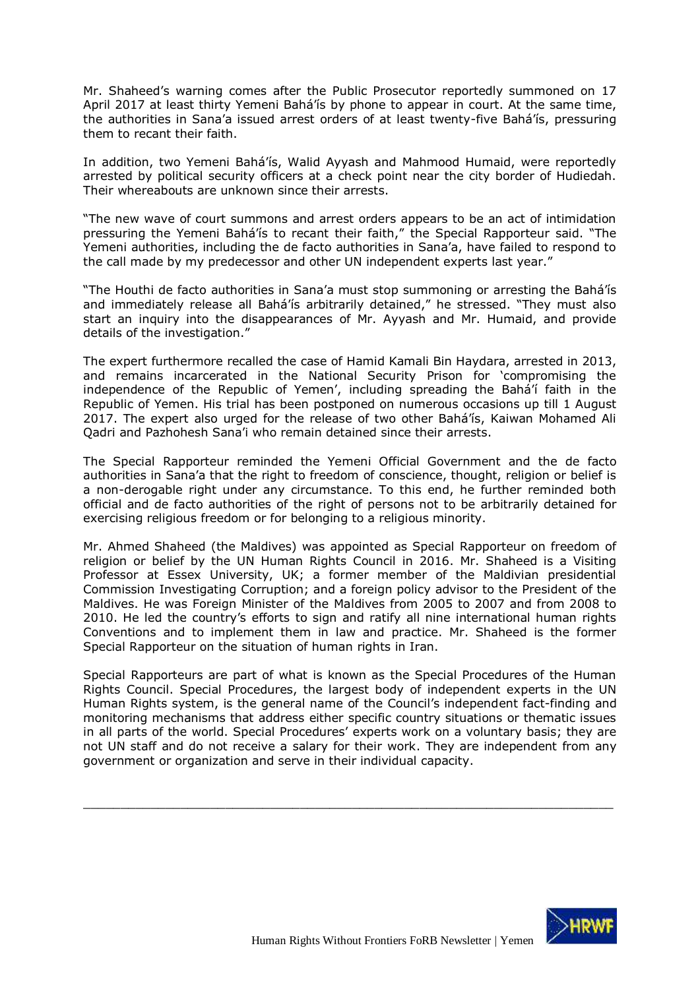Mr. Shaheed's warning comes after the Public Prosecutor reportedly summoned on 17 April 2017 at least thirty Yemeni Bahá'ís by phone to appear in court. At the same time, the authorities in Sana'a issued arrest orders of at least twenty-five Bahá'ís, pressuring them to recant their faith.

In addition, two Yemeni Bahá'ís, Walid Ayyash and Mahmood Humaid, were reportedly arrested by political security officers at a check point near the city border of Hudiedah. Their whereabouts are unknown since their arrests.

"The new wave of court summons and arrest orders appears to be an act of intimidation pressuring the Yemeni Bahá'ís to recant their faith," the Special Rapporteur said. "The Yemeni authorities, including the de facto authorities in Sana'a, have failed to respond to the call made by my predecessor and other UN independent experts last year."

"The Houthi de facto authorities in Sana'a must stop summoning or arresting the Bahá'ís and immediately release all Bahá'ís arbitrarily detained," he stressed. "They must also start an inquiry into the disappearances of Mr. Ayyash and Mr. Humaid, and provide details of the investigation."

The expert furthermore recalled the case of Hamid Kamali Bin Haydara, arrested in 2013, and remains incarcerated in the National Security Prison for 'compromising the independence of the Republic of Yemen', including spreading the Bahá'í faith in the Republic of Yemen. His trial has been postponed on numerous occasions up till 1 August 2017. The expert also urged for the release of two other Bahá'ís, Kaiwan Mohamed Ali Qadri and Pazhohesh Sana'i who remain detained since their arrests.

The Special Rapporteur reminded the Yemeni Official Government and the de facto authorities in Sana'a that the right to freedom of conscience, thought, religion or belief is a non-derogable right under any circumstance. To this end, he further reminded both official and de facto authorities of the right of persons not to be arbitrarily detained for exercising religious freedom or for belonging to a religious minority.

Mr. Ahmed Shaheed (the Maldives) was appointed as Special Rapporteur on freedom of religion or belief by the UN Human Rights Council in 2016. Mr. Shaheed is a Visiting Professor at Essex University, UK; a former member of the Maldivian presidential Commission Investigating Corruption; and a foreign policy advisor to the President of the Maldives. He was Foreign Minister of the Maldives from 2005 to 2007 and from 2008 to 2010. He led the country's efforts to sign and ratify all nine international human rights Conventions and to implement them in law and practice. Mr. Shaheed is the former Special Rapporteur on the situation of human rights in Iran.

Special Rapporteurs are part of what is known as the Special Procedures of the Human Rights Council. Special Procedures, the largest body of independent experts in the UN Human Rights system, is the general name of the Council's independent fact-finding and monitoring mechanisms that address either specific country situations or thematic issues in all parts of the world. Special Procedures' experts work on a voluntary basis; they are not UN staff and do not receive a salary for their work. They are independent from any government or organization and serve in their individual capacity.

 $\_$  , and the set of the set of the set of the set of the set of the set of the set of the set of the set of the set of the set of the set of the set of the set of the set of the set of the set of the set of the set of th

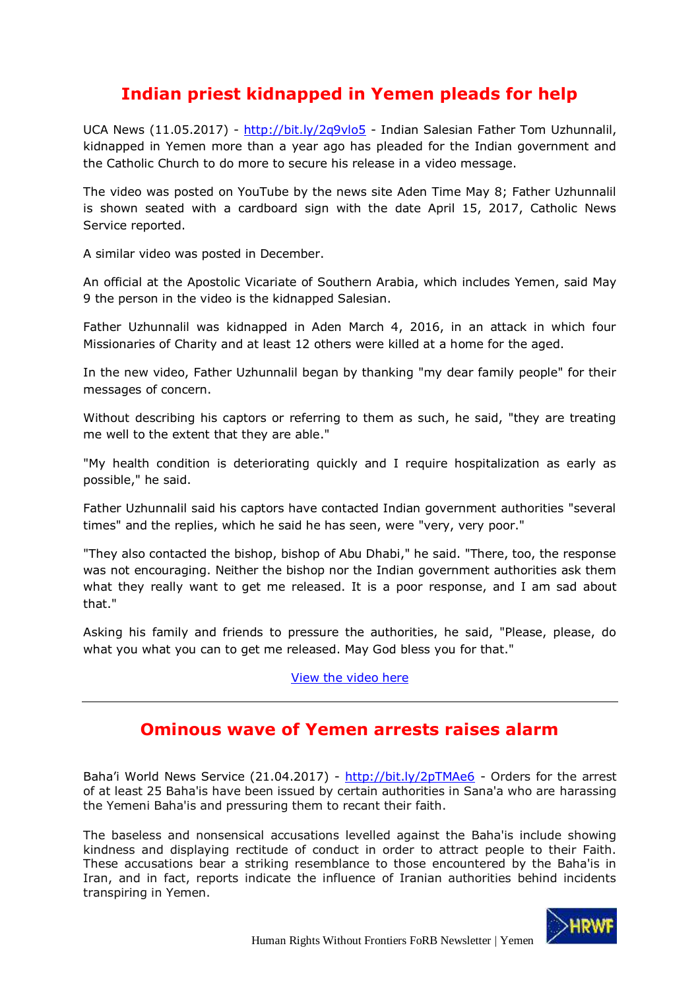# **Indian priest kidnapped in Yemen pleads for help**

<span id="page-8-0"></span>UCA News (11.05.2017) - <http://bit.ly/2q9vlo5> - Indian Salesian Father Tom Uzhunnalil, kidnapped in Yemen more than a year ago has pleaded for the Indian government and the Catholic Church to do more to secure his release in a video message.

The video was posted on YouTube by the news site Aden Time May 8; Father Uzhunnalil is shown seated with a cardboard sign with the date April 15, 2017, Catholic News Service reported.

A similar video was posted in December.

An official at the Apostolic Vicariate of Southern Arabia, which includes Yemen, said May 9 the person in the video is the kidnapped Salesian.

Father Uzhunnalil was kidnapped in Aden March 4, 2016, in an attack in which four Missionaries of Charity and at least 12 others were killed at a home for the aged.

In the new video, Father Uzhunnalil began by thanking "my dear family people" for their messages of concern.

Without describing his captors or referring to them as such, he said, "they are treating me well to the extent that they are able."

"My health condition is deteriorating quickly and I require hospitalization as early as possible," he said.

Father Uzhunnalil said his captors have contacted Indian government authorities "several times" and the replies, which he said he has seen, were "very, very poor."

"They also contacted the bishop, bishop of Abu Dhabi," he said. "There, too, the response was not encouraging. Neither the bishop nor the Indian government authorities ask them what they really want to get me released. It is a poor response, and I am sad about that."

Asking his family and friends to pressure the authorities, he said, "Please, please, do what you what you can to get me released. May God bless you for that."

[View the video here](https://youtu.be/inZfY18joYY)

## **Ominous wave of Yemen arrests raises alarm**

<span id="page-8-1"></span>Baha'i World News Service (21.04.2017) - <http://bit.ly/2pTMAe6> - Orders for the arrest of at least 25 Baha'is have been issued by certain authorities in Sana'a who are harassing the Yemeni Baha'is and pressuring them to recant their faith.

The baseless and nonsensical accusations levelled against the Baha'is include showing kindness and displaying rectitude of conduct in order to attract people to their Faith. These accusations bear a striking resemblance to those encountered by the Baha'is in Iran, and in fact, reports indicate the influence of Iranian authorities behind incidents transpiring in Yemen.

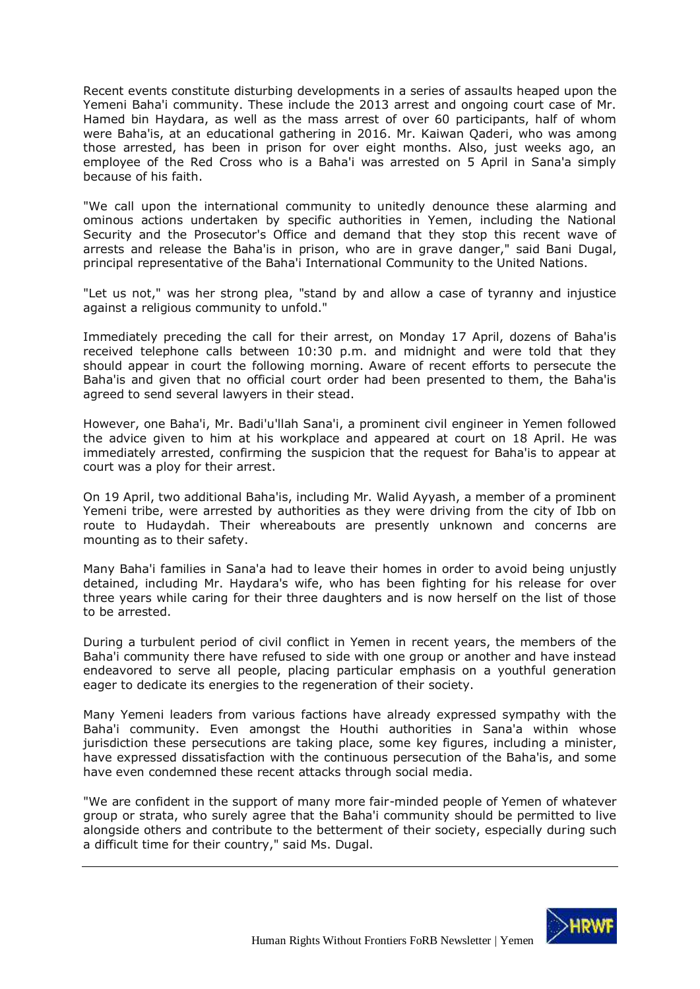Recent events constitute disturbing developments in a series of assaults heaped upon the Yemeni Baha'i community. These include the 2013 arrest and ongoing court case of Mr. Hamed bin Haydara, as well as the mass arrest of over 60 participants, half of whom were Baha'is, at an educational gathering in 2016. Mr. Kaiwan Qaderi, who was among those arrested, has been in prison for over eight months. Also, just weeks ago, an employee of the Red Cross who is a Baha'i was arrested on 5 April in Sana'a simply because of his faith.

"We call upon the international community to unitedly denounce these alarming and ominous actions undertaken by specific authorities in Yemen, including the National Security and the Prosecutor's Office and demand that they stop this recent wave of arrests and release the Baha'is in prison, who are in grave danger," said Bani Dugal, principal representative of the Baha'i International Community to the United Nations.

"Let us not," was her strong plea, "stand by and allow a case of tyranny and injustice against a religious community to unfold."

Immediately preceding the call for their arrest, on Monday 17 April, dozens of Baha'is received telephone calls between 10:30 p.m. and midnight and were told that they should appear in court the following morning. Aware of recent efforts to persecute the Baha'is and given that no official court order had been presented to them, the Baha'is agreed to send several lawyers in their stead.

However, one Baha'i, Mr. Badi'u'llah Sana'i, a prominent civil engineer in Yemen followed the advice given to him at his workplace and appeared at court on 18 April. He was immediately arrested, confirming the suspicion that the request for Baha'is to appear at court was a ploy for their arrest.

On 19 April, two additional Baha'is, including Mr. Walid Ayyash, a member of a prominent Yemeni tribe, were arrested by authorities as they were driving from the city of Ibb on route to Hudaydah. Their whereabouts are presently unknown and concerns are mounting as to their safety.

Many Baha'i families in Sana'a had to leave their homes in order to avoid being unjustly detained, including Mr. Haydara's wife, who has been fighting for his release for over three years while caring for their three daughters and is now herself on the list of those to be arrested.

During a turbulent period of civil conflict in Yemen in recent years, the members of the Baha'i community there have refused to side with one group or another and have instead endeavored to serve all people, placing particular emphasis on a youthful generation eager to dedicate its energies to the regeneration of their society.

Many Yemeni leaders from various factions have already expressed sympathy with the Baha'i community. Even amongst the Houthi authorities in Sana'a within whose jurisdiction these persecutions are taking place, some key figures, including a minister, have expressed dissatisfaction with the continuous persecution of the Baha'is, and some have even condemned these recent attacks through social media.

"We are confident in the support of many more fair-minded people of Yemen of whatever group or strata, who surely agree that the Baha'i community should be permitted to live alongside others and contribute to the betterment of their society, especially during such a difficult time for their country," said Ms. Dugal.

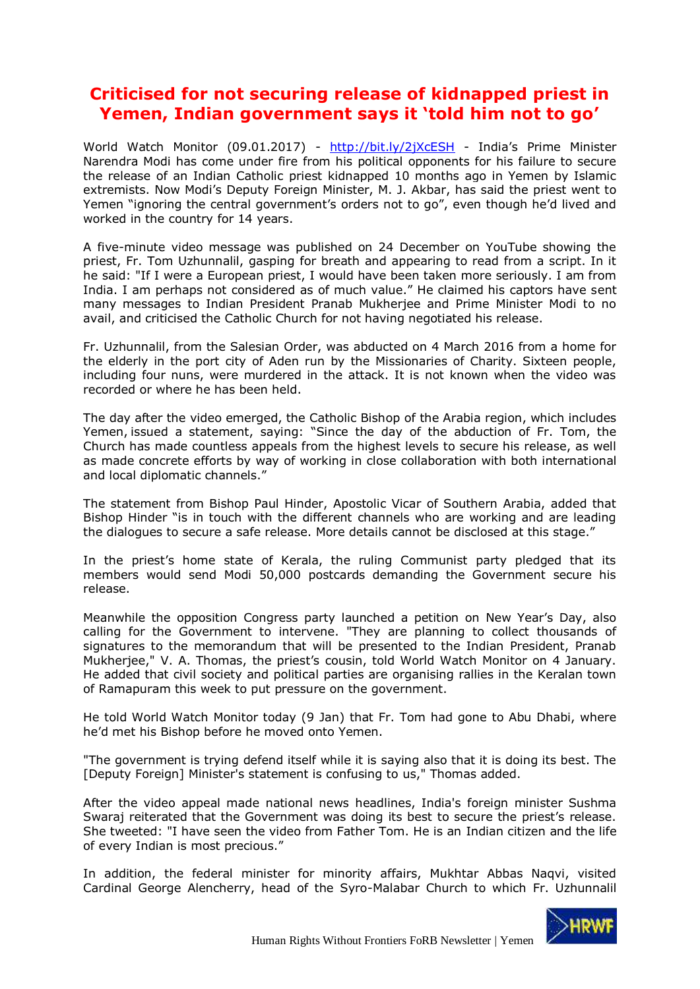# <span id="page-10-0"></span>**Criticised for not securing release of kidnapped priest in Yemen, Indian government says it 'told him not to go'**

World Watch Monitor (09.01.2017) - <http://bit.ly/2jXcESH> - India's Prime Minister Narendra Modi has come under fire from his political opponents for his failure to secure the release of an Indian Catholic priest kidnapped 10 months ago in Yemen by Islamic extremists. Now Modi's Deputy Foreign Minister, M. J. Akbar, has said the priest went to Yemen "ignoring the central government's orders not to go", even though he'd lived and worked in the country for 14 years.

A five-minute video message was published on 24 December on YouTube showing the priest, Fr. Tom Uzhunnalil, gasping for breath and appearing to read from a script. In it he said: "If I were a European priest, I would have been taken more seriously. I am from India. I am perhaps not considered as of much value." He claimed his captors have sent many messages to Indian President Pranab Mukherjee and Prime Minister Modi to no avail, and criticised the Catholic Church for not having negotiated his release.

Fr. Uzhunnalil, from the Salesian Order, was abducted on 4 March 2016 from a home for the elderly in the port city of Aden run by the Missionaries of Charity. Sixteen people, including four nuns, were murdered in the attack. It is not known when the video was recorded or where he has been held.

The day after the video emerged, the Catholic Bishop of the Arabia region, which includes Yemen, issued a statement, saying: "Since the day of the abduction of Fr. Tom, the Church has made countless appeals from the highest levels to secure his release, as well as made concrete efforts by way of working in close collaboration with both international and local diplomatic channels."

The statement from Bishop Paul Hinder, Apostolic Vicar of Southern Arabia, added that Bishop Hinder "is in touch with the different channels who are working and are leading the dialogues to secure a safe release. More details cannot be disclosed at this stage."

In the priest's home state of Kerala, the ruling Communist party pledged that its members would send Modi 50,000 postcards demanding the Government secure his release.

Meanwhile the opposition Congress party launched a petition on New Year's Day, also calling for the Government to intervene. "They are planning to collect thousands of signatures to the memorandum that will be presented to the Indian President, Pranab Mukherjee," V. A. Thomas, the priest's cousin, told World Watch Monitor on 4 January. He added that civil society and political parties are organising rallies in the Keralan town of Ramapuram this week to put pressure on the government.

He told World Watch Monitor today (9 Jan) that Fr. Tom had gone to Abu Dhabi, where he'd met his Bishop before he moved onto Yemen.

"The government is trying defend itself while it is saying also that it is doing its best. The [Deputy Foreign] Minister's statement is confusing to us," Thomas added.

After the video appeal made national news headlines, India's foreign minister Sushma Swaraj reiterated that the Government was doing its best to secure the priest's release. She tweeted: "I have seen the video from Father Tom. He is an Indian citizen and the life of every Indian is most precious."

In addition, the federal minister for minority affairs, Mukhtar Abbas Naqvi, visited Cardinal George Alencherry, head of the Syro-Malabar Church to which Fr. Uzhunnalil